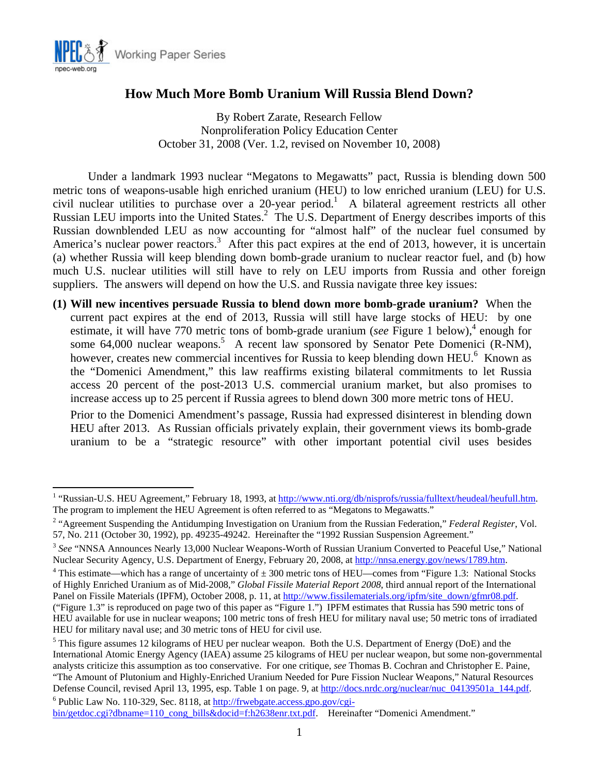

1

# **How Much More Bomb Uranium Will Russia Blend Down?**

By Robert Zarate, Research Fellow Nonproliferation Policy Education Center October 31, 2008 (Ver. 1.2, revised on November 10, 2008)

Under a landmark 1993 nuclear "Megatons to Megawatts" pact, Russia is blending down 500 metric tons of weapons-usable high enriched uranium (HEU) to low enriched uranium (LEU) for U.S. civil nuclear utilities to purchase over a 20-year period.<sup>1</sup> A bilateral agreement restricts all other Russian LEU imports into the United States.<sup>2</sup> The U.S. Department of Energy describes imports of this Russian downblended LEU as now accounting for "almost half" of the nuclear fuel consumed by America's nuclear power reactors.<sup>3</sup> After this pact expires at the end of 2013, however, it is uncertain (a) whether Russia will keep blending down bomb-grade uranium to nuclear reactor fuel, and (b) how much U.S. nuclear utilities will still have to rely on LEU imports from Russia and other foreign suppliers. The answers will depend on how the U.S. and Russia navigate three key issues:

**(1) Will new incentives persuade Russia to blend down more bomb-grade uranium?** When the current pact expires at the end of 2013, Russia will still have large stocks of HEU: by one estimate, it will have 770 metric tons of bomb-grade uranium (*see* Figure 1 below),<sup>4</sup> enough for some  $64,000$  nuclear weapons.<sup>5</sup> A recent law sponsored by Senator Pete Domenici (R-NM), however, creates new commercial incentives for Russia to keep blending down HEU.<sup>6</sup> Known as the "Domenici Amendment," this law reaffirms existing bilateral commitments to let Russia access 20 percent of the post-2013 U.S. commercial uranium market, but also promises to increase access up to 25 percent if Russia agrees to blend down 300 more metric tons of HEU.

Prior to the Domenici Amendment's passage, Russia had expressed disinterest in blending down HEU after 2013. As Russian officials privately explain, their government views its bomb-grade uranium to be a "strategic resource" with other important potential civil uses besides

<sup>&</sup>lt;sup>1</sup> "Russian-U.S. HEU Agreement," February 18, 1993, at http://www.nti.org/db/nisprofs/russia/fulltext/heudeal/heufull.htm. The program to implement the HEU Agreement is often referred to as "Megatons to Megawatts." 2 "Agreement Suspending the Antidumping Investigation on Uranium from the Russian Federation," *Federal Register*, Vol.

<sup>57,</sup> No. 211 (October 30, 1992), pp. 49235-49242. Hereinafter the "1992 Russian Suspension Agreement."

<sup>&</sup>lt;sup>3</sup> See "NNSA Announces Nearly 13,000 Nuclear Weapons-Worth of Russian Uranium Converted to Peaceful Use," National Nuclear Security Agency, U.S. Department of Energy, February 20, 2008, at http://nnsa.energy.gov/news/1789.htm.

<sup>&</sup>lt;sup>4</sup> This estimate—which has a range of uncertainty of  $\pm 300$  metric tons of HEU—comes from "Figure 1.3: National Stocks of Highly Enriched Uranium as of Mid-2008," *Global Fissile Material Report 2008*, third annual report of the International Panel on Fissile Materials (IPFM), October 2008, p. 11, at http://www.fissilematerials.org/ipfm/site\_down/gfmr08.pdf. ("Figure 1.3" is reproduced on page two of this paper as "Figure 1.") IPFM estimates that Russia has 590 metric tons of HEU available for use in nuclear weapons; 100 metric tons of fresh HEU for military naval use; 50 metric tons of irradiated HEU for military naval use; and 30 metric tons of HEU for civil use.

<sup>&</sup>lt;sup>5</sup> This figure assumes 12 kilograms of HEU per nuclear weapon. Both the U.S. Department of Energy (DoE) and the International Atomic Energy Agency (IAEA) assume 25 kilograms of HEU per nuclear weapon, but some non-governmental analysts criticize this assumption as too conservative. For one critique, *see* Thomas B. Cochran and Christopher E. Paine, "The Amount of Plutonium and Highly-Enriched Uranium Needed for Pure Fission Nuclear Weapons," Natural Resources Defense Council, revised April 13, 1995, esp. Table 1 on page. 9, at http://docs.nrdc.org/nuclear/nuc\_04139501a\_144.pdf.

Public Law No. 110-329, Sec. 8118, at http://frwebgate.access.gpo.gov/cgibin/getdoc.cgi?dbname=110\_cong\_bills&docid=f:h2638enr.txt.pdf. Hereinafter "Domenici Amendment."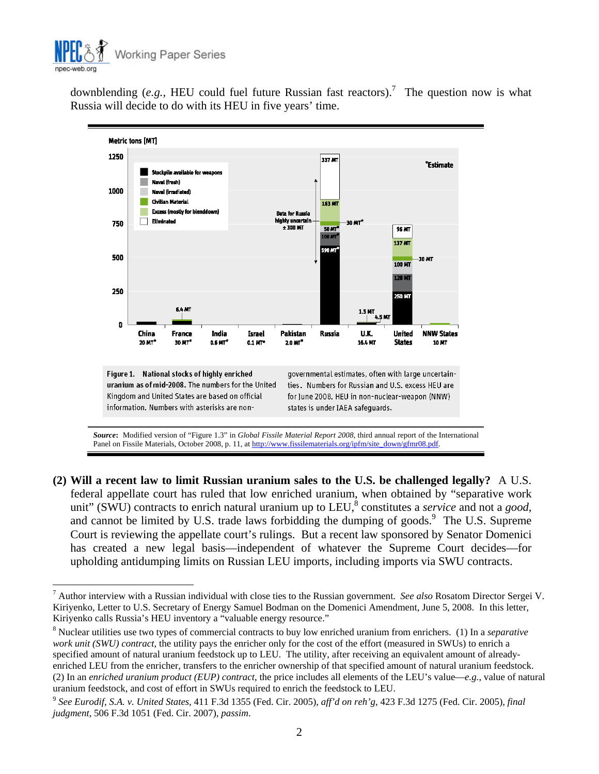

1

downblending  $(e.g., HEU$  could fuel future Russian fast reactors).<sup>7</sup> The question now is what Russia will decide to do with its HEU in five years' time.



**(2) Will a recent law to limit Russian uranium sales to the U.S. be challenged legally?** A U.S. federal appellate court has ruled that low enriched uranium, when obtained by "separative work unit" (SWU) contracts to enrich natural uranium up to LEU,<sup>8</sup> constitutes a *service* and not a *good*, and cannot be limited by U.S. trade laws forbidding the dumping of goods.<sup>9</sup> The U.S. Supreme Court is reviewing the appellate court's rulings. But a recent law sponsored by Senator Domenici has created a new legal basis—independent of whatever the Supreme Court decides—for upholding antidumping limits on Russian LEU imports, including imports via SWU contracts.

<sup>7</sup> Author interview with a Russian individual with close ties to the Russian government. *See also* Rosatom Director Sergei V. Kiriyenko, Letter to U.S. Secretary of Energy Samuel Bodman on the Domenici Amendment, June 5, 2008. In this letter, Kiriyenko calls Russia's HEU inventory a "valuable energy resource."

<sup>8</sup> Nuclear utilities use two types of commercial contracts to buy low enriched uranium from enrichers. (1) In a *separative work unit (SWU) contract*, the utility pays the enricher only for the cost of the effort (measured in SWUs) to enrich a specified amount of natural uranium feedstock up to LEU. The utility, after receiving an equivalent amount of alreadyenriched LEU from the enricher, transfers to the enricher ownership of that specified amount of natural uranium feedstock. (2) In an *enriched uranium product (EUP) contract*, the price includes all elements of the LEU's value—*e.g.*, value of natural uranium feedstock, and cost of effort in SWUs required to enrich the feedstock to LEU.

<sup>9</sup> *See Eurodif, S.A. v. United States*, 411 F.3d 1355 (Fed. Cir. 2005), *aff'd on reh'g*, 423 F.3d 1275 (Fed. Cir. 2005), *final judgment*, 506 F.3d 1051 (Fed. Cir. 2007), *passim*.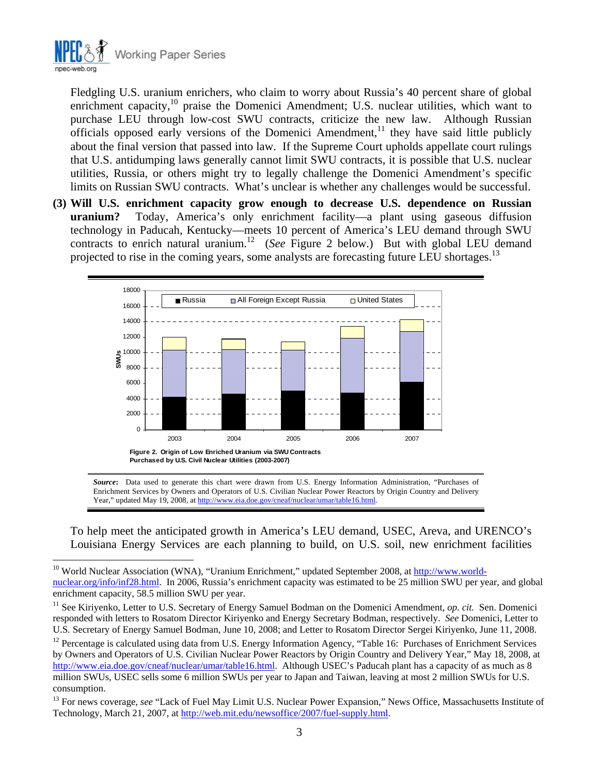

 $\overline{a}$ 

Fledgling U.S. uranium enrichers, who claim to worry about Russia's 40 percent share of global enrichment capacity,<sup>10</sup> praise the Domenici Amendment; U.S. nuclear utilities, which want to purchase LEU through low-cost SWU contracts, criticize the new law. Although Russian officials opposed early versions of the Domenici Amendment,<sup>11</sup> they have said little publicly about the final version that passed into law. If the Supreme Court upholds appellate court rulings that U.S. antidumping laws generally cannot limit SWU contracts, it is possible that U.S. nuclear utilities, Russia, or others might try to legally challenge the Domenici Amendment's specific limits on Russian SWU contracts. What's unclear is whether any challenges would be successful.

**(3) Will U.S. enrichment capacity grow enough to decrease U.S. dependence on Russian uranium?** Today, America's only enrichment facility—a plant using gaseous diffusion technology in Paducah, Kentucky—meets 10 percent of America's LEU demand through SWU contracts to enrich natural uranium.<sup>12</sup> (*See* Figure 2 below.) But with global LEU demand projected to rise in the coming years, some analysts are forecasting future LEU shortages.<sup>13</sup>



*Source***:** Data used to generate this chart were drawn from U.S. Energy Information Administration, "Purchases of Enrichment Services by Owners and Operators of U.S. Civilian Nuclear Power Reactors by Origin Country and Delivery Year," updated May 19, 2008, at http://www.eia.doe.gov/cneaf/nuclear/umar/table16.html

To help meet the anticipated growth in America's LEU demand, USEC, Areva, and URENCO's Louisiana Energy Services are each planning to build, on U.S. soil, new enrichment facilities

<sup>&</sup>lt;sup>10</sup> World Nuclear Association (WNA), "Uranium Enrichment," updated September 2008, at http://www.worldnuclear.org/info/inf28.html. In 2006, Russia's enrichment capacity was estimated to be 25 million SWU per year, and global enrichment capacity, 58.5 million SWU per year.

<sup>&</sup>lt;sup>11</sup> See Kiriyenko, Letter to U.S. Secretary of Energy Samuel Bodman on the Domenici Amendment, *op. cit.* Sen. Domenici responded with letters to Rosatom Director Kiriyenko and Energy Secretary Bodman, respectively. *See* Domenici, Letter to U.S. Secretary of Energy Samuel Bodman, June 10, 2008; and Letter to Rosatom Director Sergei Kiriyenko, June 11, 2008.

<sup>&</sup>lt;sup>12</sup> Percentage is calculated using data from U.S. Energy Information Agency, "Table 16: Purchases of Enrichment Services by Owners and Operators of U.S. Civilian Nuclear Power Reactors by Origin Country and Delivery Year," May 18, 2008, at http://www.eia.doe.gov/cneaf/nuclear/umar/table16.html. Although USEC's Paducah plant has a capacity of as much as 8 million SWUs, USEC sells some 6 million SWUs per year to Japan and Taiwan, leaving at most 2 million SWUs for U.S. consumption.

<sup>&</sup>lt;sup>13</sup> For news coverage, see "Lack of Fuel May Limit U.S. Nuclear Power Expansion," News Office, Massachusetts Institute of Technology, March 21, 2007, at http://web.mit.edu/newsoffice/2007/fuel-supply.html.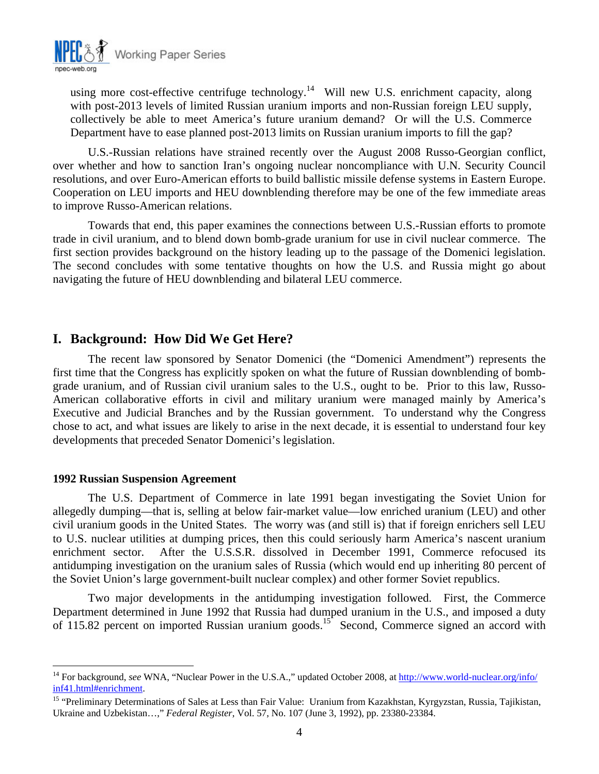

using more cost-effective centrifuge technology.<sup>14</sup> Will new U.S. enrichment capacity, along with post-2013 levels of limited Russian uranium imports and non-Russian foreign LEU supply, collectively be able to meet America's future uranium demand? Or will the U.S. Commerce Department have to ease planned post-2013 limits on Russian uranium imports to fill the gap?

U.S.-Russian relations have strained recently over the August 2008 Russo-Georgian conflict, over whether and how to sanction Iran's ongoing nuclear noncompliance with U.N. Security Council resolutions, and over Euro-American efforts to build ballistic missile defense systems in Eastern Europe. Cooperation on LEU imports and HEU downblending therefore may be one of the few immediate areas to improve Russo-American relations.

Towards that end, this paper examines the connections between U.S.-Russian efforts to promote trade in civil uranium, and to blend down bomb-grade uranium for use in civil nuclear commerce. The first section provides background on the history leading up to the passage of the Domenici legislation. The second concludes with some tentative thoughts on how the U.S. and Russia might go about navigating the future of HEU downblending and bilateral LEU commerce.

## **I. Background: How Did We Get Here?**

The recent law sponsored by Senator Domenici (the "Domenici Amendment") represents the first time that the Congress has explicitly spoken on what the future of Russian downblending of bombgrade uranium, and of Russian civil uranium sales to the U.S., ought to be. Prior to this law, Russo-American collaborative efforts in civil and military uranium were managed mainly by America's Executive and Judicial Branches and by the Russian government. To understand why the Congress chose to act, and what issues are likely to arise in the next decade, it is essential to understand four key developments that preceded Senator Domenici's legislation.

#### **1992 Russian Suspension Agreement**

 $\overline{a}$ 

The U.S. Department of Commerce in late 1991 began investigating the Soviet Union for allegedly dumping—that is, selling at below fair-market value—low enriched uranium (LEU) and other civil uranium goods in the United States. The worry was (and still is) that if foreign enrichers sell LEU to U.S. nuclear utilities at dumping prices, then this could seriously harm America's nascent uranium enrichment sector. After the U.S.S.R. dissolved in December 1991, Commerce refocused its antidumping investigation on the uranium sales of Russia (which would end up inheriting 80 percent of the Soviet Union's large government-built nuclear complex) and other former Soviet republics.

Two major developments in the antidumping investigation followed. First, the Commerce Department determined in June 1992 that Russia had dumped uranium in the U.S., and imposed a duty of 115.82 percent on imported Russian uranium goods.<sup>15</sup> Second, Commerce signed an accord with

<sup>14</sup> For background, *see* WNA, "Nuclear Power in the U.S.A.," updated October 2008, at http://www.world-nuclear.org/info/ inf41.html#enrichment.<br><sup>15</sup> "Preliminary Determinations of Sales at Less than Fair Value: Uranium from Kazakhstan, Kyrgyzstan, Russia, Tajikistan,

Ukraine and Uzbekistan…," *Federal Register*, Vol. 57, No. 107 (June 3, 1992), pp. 23380-23384.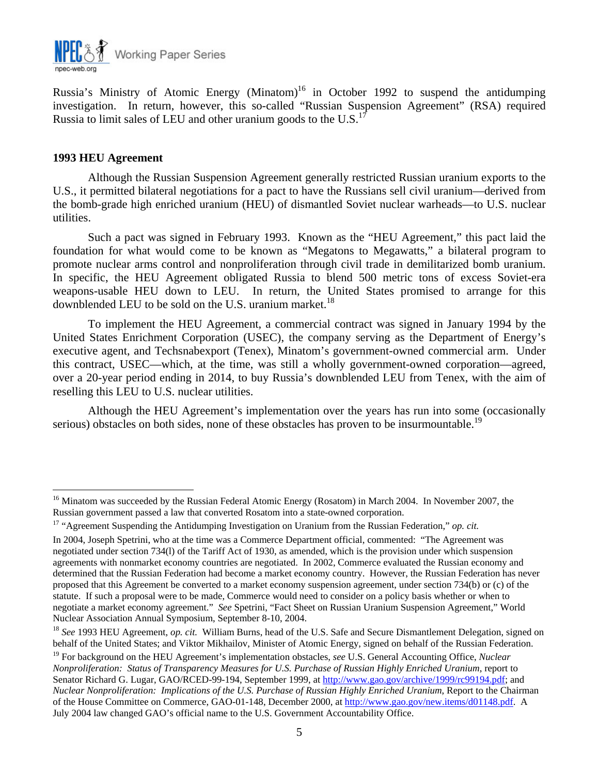

Russia's Ministry of Atomic Energy (Minatom)<sup>16</sup> in October 1992 to suspend the antidumping investigation. In return, however, this so-called "Russian Suspension Agreement" (RSA) required Russia to limit sales of LEU and other uranium goods to the U.S. $<sup>17</sup>$ </sup>

#### **1993 HEU Agreement**

1

Although the Russian Suspension Agreement generally restricted Russian uranium exports to the U.S., it permitted bilateral negotiations for a pact to have the Russians sell civil uranium—derived from the bomb-grade high enriched uranium (HEU) of dismantled Soviet nuclear warheads—to U.S. nuclear utilities.

Such a pact was signed in February 1993. Known as the "HEU Agreement," this pact laid the foundation for what would come to be known as "Megatons to Megawatts," a bilateral program to promote nuclear arms control and nonproliferation through civil trade in demilitarized bomb uranium. In specific, the HEU Agreement obligated Russia to blend 500 metric tons of excess Soviet-era weapons-usable HEU down to LEU. In return, the United States promised to arrange for this downblended LEU to be sold on the U.S. uranium market.<sup>18</sup>

To implement the HEU Agreement, a commercial contract was signed in January 1994 by the United States Enrichment Corporation (USEC), the company serving as the Department of Energy's executive agent, and Techsnabexport (Tenex), Minatom's government-owned commercial arm. Under this contract, USEC—which, at the time, was still a wholly government-owned corporation—agreed, over a 20-year period ending in 2014, to buy Russia's downblended LEU from Tenex, with the aim of reselling this LEU to U.S. nuclear utilities.

Although the HEU Agreement's implementation over the years has run into some (occasionally serious) obstacles on both sides, none of these obstacles has proven to be insurmountable.<sup>19</sup>

<sup>&</sup>lt;sup>16</sup> Minatom was succeeded by the Russian Federal Atomic Energy (Rosatom) in March 2004. In November 2007, the Russian government passed a law that converted Rosatom into a state-owned corporation.

<sup>&</sup>lt;sup>17</sup> "Agreement Suspending the Antidumping Investigation on Uranium from the Russian Federation," *op. cit.* 

In 2004, Joseph Spetrini, who at the time was a Commerce Department official, commented: "The Agreement was negotiated under section 734(l) of the Tariff Act of 1930, as amended, which is the provision under which suspension agreements with nonmarket economy countries are negotiated. In 2002, Commerce evaluated the Russian economy and determined that the Russian Federation had become a market economy country. However, the Russian Federation has never proposed that this Agreement be converted to a market economy suspension agreement, under section 734(b) or (c) of the statute. If such a proposal were to be made, Commerce would need to consider on a policy basis whether or when to negotiate a market economy agreement." *See* Spetrini, "Fact Sheet on Russian Uranium Suspension Agreement," World Nuclear Association Annual Symposium, September 8-10, 2004.

<sup>&</sup>lt;sup>18</sup> See 1993 HEU Agreement, *op. cit.* William Burns, head of the U.S. Safe and Secure Dismantlement Delegation, signed on behalf of the United States; and Viktor Mikhailov, Minister of Atomic Energy, signed on behalf of the Russian Federation.

<sup>19</sup> For background on the HEU Agreement's implementation obstacles, *see* U.S. General Accounting Office, *Nuclear Nonproliferation: Status of Transparency Measures for U.S. Purchase of Russian Highly Enriched Uranium*, report to Senator Richard G. Lugar, GAO/RCED-99-194, September 1999, at http://www.gao.gov/archive/1999/rc99194.pdf; and *Nuclear Nonproliferation: Implications of the U.S. Purchase of Russian Highly Enriched Uranium*, Report to the Chairman of the House Committee on Commerce, GAO-01-148, December 2000, at http://www.gao.gov/new.items/d01148.pdf. A July 2004 law changed GAO's official name to the U.S. Government Accountability Office.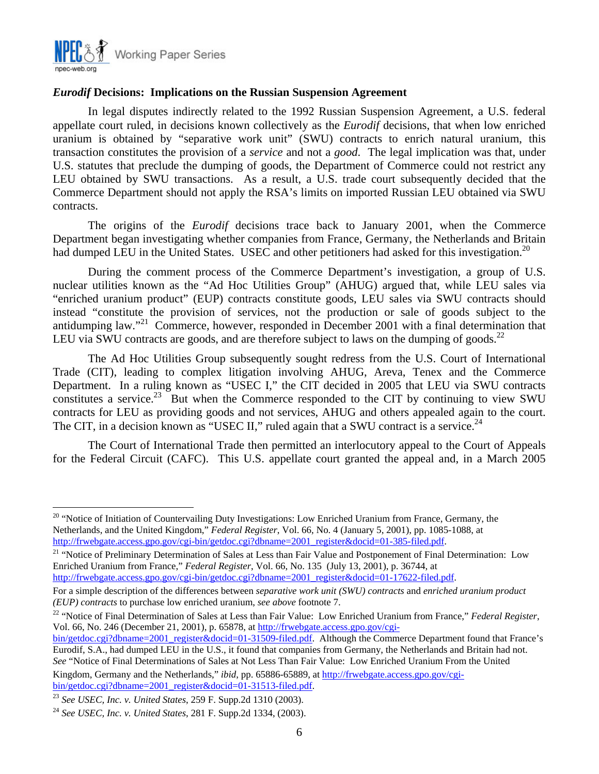

#### *Eurodif* **Decisions: Implications on the Russian Suspension Agreement**

In legal disputes indirectly related to the 1992 Russian Suspension Agreement, a U.S. federal appellate court ruled, in decisions known collectively as the *Eurodif* decisions, that when low enriched uranium is obtained by "separative work unit" (SWU) contracts to enrich natural uranium, this transaction constitutes the provision of a *service* and not a *good*. The legal implication was that, under U.S. statutes that preclude the dumping of goods, the Department of Commerce could not restrict any LEU obtained by SWU transactions. As a result, a U.S. trade court subsequently decided that the Commerce Department should not apply the RSA's limits on imported Russian LEU obtained via SWU contracts.

The origins of the *Eurodif* decisions trace back to January 2001, when the Commerce Department began investigating whether companies from France, Germany, the Netherlands and Britain had dumped LEU in the United States. USEC and other petitioners had asked for this investigation.<sup>20</sup>

During the comment process of the Commerce Department's investigation, a group of U.S. nuclear utilities known as the "Ad Hoc Utilities Group" (AHUG) argued that, while LEU sales via "enriched uranium product" (EUP) contracts constitute goods, LEU sales via SWU contracts should instead "constitute the provision of services, not the production or sale of goods subject to the antidumping law."21 Commerce, however, responded in December 2001 with a final determination that LEU via SWU contracts are goods, and are therefore subject to laws on the dumping of goods.<sup>22</sup>

The Ad Hoc Utilities Group subsequently sought redress from the U.S. Court of International Trade (CIT), leading to complex litigation involving AHUG, Areva, Tenex and the Commerce Department. In a ruling known as "USEC I," the CIT decided in 2005 that LEU via SWU contracts constitutes a service.<sup>23</sup> But when the Commerce responded to the CIT by continuing to view SWU contracts for LEU as providing goods and not services, AHUG and others appealed again to the court. The CIT, in a decision known as "USEC II," ruled again that a SWU contract is a service.<sup>24</sup>

The Court of International Trade then permitted an interlocutory appeal to the Court of Appeals for the Federal Circuit (CAFC). This U.S. appellate court granted the appeal and, in a March 2005

*(EUP) contracts* to purchase low enriched uranium, *see above* footnote 7.<br><sup>22</sup> "Notice of Final Determination of Sales at Less than Fair Value: Low Enriched Uranium from France," *Federal Register*, Vol. 66, No. 246 (December 21, 2001), p. 65878, at http://frwebgate.access.gpo.gov/cgi-

bin/getdoc.cgi?dbname=2001\_register&docid=01-31509-filed.pdf. Although the Commerce Department found that France's Eurodif, S.A., had dumped LEU in the U.S., it found that companies from Germany, the Netherlands and Britain had not. *See* "Notice of Final Determinations of Sales at Not Less Than Fair Value: Low Enriched Uranium From the United

1

<sup>&</sup>lt;sup>20</sup> "Notice of Initiation of Countervailing Duty Investigations: Low Enriched Uranium from France, Germany, the Netherlands, and the United Kingdom," *Federal Register*, Vol. 66, No. 4 (January 5, 2001), pp. 1085-1088, at http://frwebgate.access.gpo.gov/cgi-bin/getdoc.cgi?dbname=2001 register&docid=01-385-filed.pdf.

<sup>&</sup>lt;sup>21</sup> "Notice of Preliminary Determination of Sales at Less than Fair Value and Postponement of Final Determination: Low Enriched Uranium from France," *Federal Register*, Vol. 66, No. 135 (July 13, 2001), p. 36744, at http://frwebgate.access.gpo.gov/cgi-bin/getdoc.cgi?dbname=2001\_register&docid=01-17622-filed.pdf.

For a simple description of the differences between *separative work unit (SWU) contracts* and *enriched uranium product* 

Kingdom, Germany and the Netherlands," *ibid*, pp. 65886-65889, at http://frwebgate.access.gpo.gov/cgi-<br>bin/getdoc.cgi?dbname=2001 register&docid=01-31513-filed.pdf.

<sup>&</sup>lt;sup>23</sup> See USEC, Inc. v. United States, 259 F. Supp.2d 1310 (2003).<br><sup>24</sup> See USEC, Inc. v. United States, 281 F. Supp.2d 1334, (2003).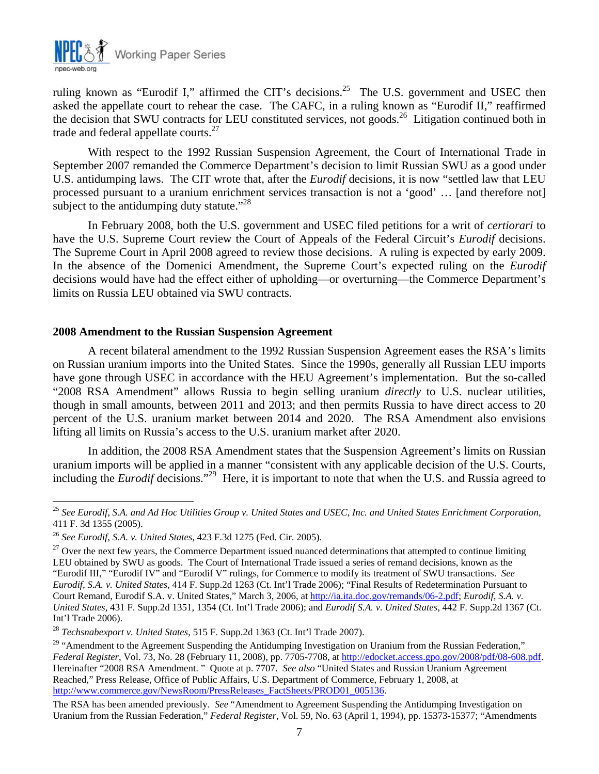

ruling known as "Eurodif I," affirmed the CIT's decisions.<sup>25</sup> The U.S. government and USEC then asked the appellate court to rehear the case. The CAFC, in a ruling known as "Eurodif II," reaffirmed the decision that SWU contracts for LEU constituted services, not goods.<sup>26</sup> Litigation continued both in trade and federal appellate courts.<sup>27</sup>

With respect to the 1992 Russian Suspension Agreement, the Court of International Trade in September 2007 remanded the Commerce Department's decision to limit Russian SWU as a good under U.S. antidumping laws. The CIT wrote that, after the *Eurodif* decisions, it is now "settled law that LEU processed pursuant to a uranium enrichment services transaction is not a 'good' … [and therefore not] subject to the antidumping duty statute. $128$ 

In February 2008, both the U.S. government and USEC filed petitions for a writ of *certiorari* to have the U.S. Supreme Court review the Court of Appeals of the Federal Circuit's *Eurodif* decisions. The Supreme Court in April 2008 agreed to review those decisions. A ruling is expected by early 2009. In the absence of the Domenici Amendment, the Supreme Court's expected ruling on the *Eurodif*  decisions would have had the effect either of upholding—or overturning—the Commerce Department's limits on Russia LEU obtained via SWU contracts.

#### **2008 Amendment to the Russian Suspension Agreement**

A recent bilateral amendment to the 1992 Russian Suspension Agreement eases the RSA's limits on Russian uranium imports into the United States. Since the 1990s, generally all Russian LEU imports have gone through USEC in accordance with the HEU Agreement's implementation. But the so-called "2008 RSA Amendment" allows Russia to begin selling uranium *directly* to U.S. nuclear utilities, though in small amounts, between 2011 and 2013; and then permits Russia to have direct access to 20 percent of the U.S. uranium market between 2014 and 2020. The RSA Amendment also envisions lifting all limits on Russia's access to the U.S. uranium market after 2020.

In addition, the 2008 RSA Amendment states that the Suspension Agreement's limits on Russian uranium imports will be applied in a manner "consistent with any applicable decision of the U.S. Courts, including the *Eurodif* decisions."29 Here, it is important to note that when the U.S. and Russia agreed to

 $\overline{a}$ 

<sup>25</sup> *See Eurodif, S.A. and Ad Hoc Utilities Group v. United States and USEC, Inc. and United States Enrichment Corporation*, 411 F. 3d 1355 (2005).

<sup>&</sup>lt;sup>26</sup> *See Eurodif, S.A. v. United States*, 423 F.3d 1275 (Fed. Cir. 2005). <sup>27</sup> Over the next few years, the Commerce Department issued nuanced determinations that attempted to continue limiting LEU obtained by SWU as goods. The Court of International Trade issued a series of remand decisions, known as the "Eurodif III," "Eurodif IV" and "Eurodif V" rulings, for Commerce to modify its treatment of SWU transactions. *See Eurodif, S.A. v. United States*, 414 F. Supp.2d 1263 (Ct. Int'l Trade 2006); "Final Results of Redetermination Pursuant to Court Remand, Eurodif S.A. v. United States," March 3, 2006, at http://ia.ita.doc.gov/remands/06-2.pdf; *Eurodif, S.A. v. United States*, 431 F. Supp.2d 1351, 1354 (Ct. Int'l Trade 2006); and *Eurodif S.A. v. United States*, 442 F. Supp.2d 1367 (Ct. Int'l Trade 2006).

<sup>28</sup> *Techsnabexport v. United States*, 515 F. Supp.2d 1363 (Ct. Int'l Trade 2007).

<sup>&</sup>lt;sup>29</sup> "Amendment to the Agreement Suspending the Antidumping Investigation on Uranium from the Russian Federation," *Federal Register*, Vol. 73, No. 28 (February 11, 2008), pp. 7705-7708, at http://edocket.access.gpo.gov/2008/pdf/08-608.pdf. Hereinafter "2008 RSA Amendment. " Quote at p. 7707. *See also* "United States and Russian Uranium Agreement Reached," Press Release, Office of Public Affairs, U.S. Department of Commerce, February 1, 2008, at http://www.commerce.gov/NewsRoom/PressReleases\_FactSheets/PROD01\_005136.

The RSA has been amended previously. *See* "Amendment to Agreement Suspending the Antidumping Investigation on Uranium from the Russian Federation," *Federal Register*, Vol. 59, No. 63 (April 1, 1994), pp. 15373-15377; "Amendments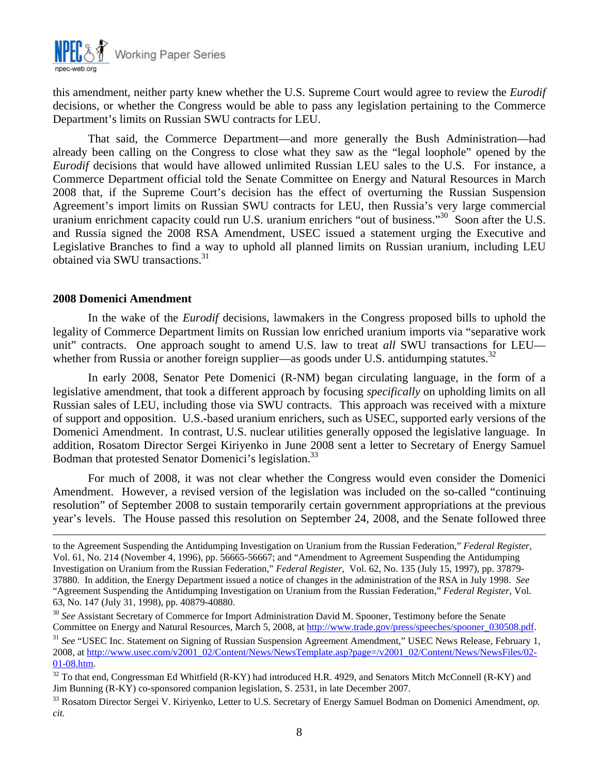

this amendment, neither party knew whether the U.S. Supreme Court would agree to review the *Eurodif*  decisions, or whether the Congress would be able to pass any legislation pertaining to the Commerce Department's limits on Russian SWU contracts for LEU.

That said, the Commerce Department—and more generally the Bush Administration—had already been calling on the Congress to close what they saw as the "legal loophole" opened by the *Eurodif* decisions that would have allowed unlimited Russian LEU sales to the U.S. For instance, a Commerce Department official told the Senate Committee on Energy and Natural Resources in March 2008 that, if the Supreme Court's decision has the effect of overturning the Russian Suspension Agreement's import limits on Russian SWU contracts for LEU, then Russia's very large commercial uranium enrichment capacity could run U.S. uranium enrichers "out of business."<sup>30</sup> Soon after the U.S. and Russia signed the 2008 RSA Amendment, USEC issued a statement urging the Executive and Legislative Branches to find a way to uphold all planned limits on Russian uranium, including LEU obtained via SWU transactions.<sup>31</sup>

#### **2008 Domenici Amendment**

In the wake of the *Eurodif* decisions, lawmakers in the Congress proposed bills to uphold the legality of Commerce Department limits on Russian low enriched uranium imports via "separative work unit" contracts. One approach sought to amend U.S. law to treat *all* SWU transactions for LEU whether from Russia or another foreign supplier—as goods under U.S. antidumping statutes.<sup>32</sup>

In early 2008, Senator Pete Domenici (R-NM) began circulating language, in the form of a legislative amendment, that took a different approach by focusing *specifically* on upholding limits on all Russian sales of LEU, including those via SWU contracts. This approach was received with a mixture of support and opposition. U.S.-based uranium enrichers, such as USEC, supported early versions of the Domenici Amendment. In contrast, U.S. nuclear utilities generally opposed the legislative language. In addition, Rosatom Director Sergei Kiriyenko in June 2008 sent a letter to Secretary of Energy Samuel Bodman that protested Senator Domenici's legislation.<sup>33</sup>

For much of 2008, it was not clear whether the Congress would even consider the Domenici Amendment. However, a revised version of the legislation was included on the so-called "continuing resolution" of September 2008 to sustain temporarily certain government appropriations at the previous year's levels. The House passed this resolution on September 24, 2008, and the Senate followed three

to the Agreement Suspending the Antidumping Investigation on Uranium from the Russian Federation," *Federal Register*, Vol. 61, No. 214 (November 4, 1996), pp. 56665-56667; and "Amendment to Agreement Suspending the Antidumping Investigation on Uranium from the Russian Federation," *Federal Register*, Vol. 62, No. 135 (July 15, 1997), pp. 37879- 37880. In addition, the Energy Department issued a notice of changes in the administration of the RSA in July 1998. *See* "Agreement Suspending the Antidumping Investigation on Uranium from the Russian Federation," *Federal Register*, Vol. 63, No. 147 (July 31, 1998), pp. 40879-40880.

<sup>30</sup> *See* Assistant Secretary of Commerce for Import Administration David M. Spooner, Testimony before the Senate Committee on Energy and Natural Resources, March 5, 2008, at http://www.trade.gov/press/speeches/spooner\_030508.pdf.

<sup>&</sup>lt;sup>31</sup> See "USEC Inc. Statement on Signing of Russian Suspension Agreement Amendment," USEC News Release, February 1, 2008, at http://www.usec.com/v2001\_02/Content/News/NewsTemplate.asp?page=/v2001\_02/Content/News/NewsFiles/02-

<sup>01-08.</sup>htm.<br><sup>32</sup> To that end, Congressman Ed Whitfield (R-KY) had introduced H.R. 4929, and Senators Mitch McConnell (R-KY) and Jim Bunning (R-KY) co-sponsored companion legislation, S. 2531, in late December 2007.<br><sup>33</sup> Rosatom Director Sergei V. Kiriyenko, Letter to U.S. Secretary of Energy Samuel Bodman on Domenici Amendment, *op*.

*cit.*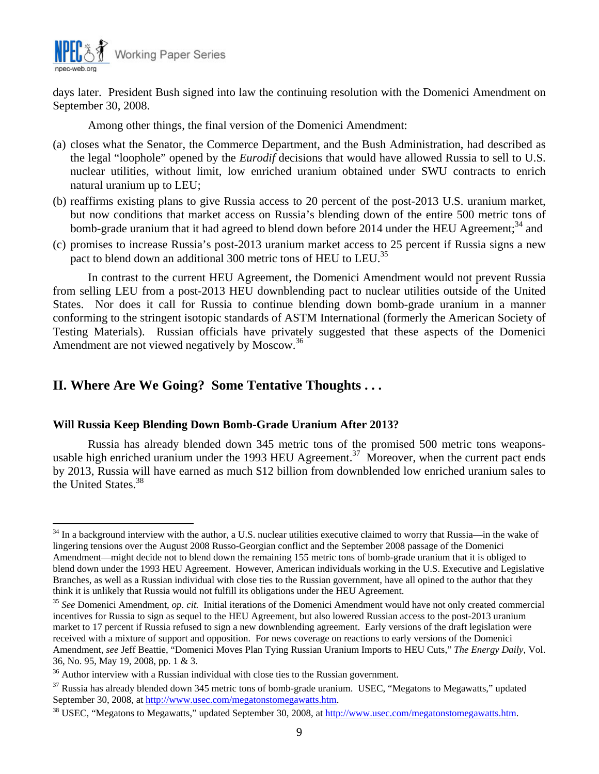

days later. President Bush signed into law the continuing resolution with the Domenici Amendment on September 30, 2008.

Among other things, the final version of the Domenici Amendment:

- (a) closes what the Senator, the Commerce Department, and the Bush Administration, had described as the legal "loophole" opened by the *Eurodif* decisions that would have allowed Russia to sell to U.S. nuclear utilities, without limit, low enriched uranium obtained under SWU contracts to enrich natural uranium up to LEU;
- (b) reaffirms existing plans to give Russia access to 20 percent of the post-2013 U.S. uranium market, but now conditions that market access on Russia's blending down of the entire 500 metric tons of bomb-grade uranium that it had agreed to blend down before 2014 under the HEU Agreement;<sup>34</sup> and
- (c) promises to increase Russia's post-2013 uranium market access to 25 percent if Russia signs a new pact to blend down an additional 300 metric tons of HEU to LEU.<sup>35</sup>

In contrast to the current HEU Agreement, the Domenici Amendment would not prevent Russia from selling LEU from a post-2013 HEU downblending pact to nuclear utilities outside of the United States. Nor does it call for Russia to continue blending down bomb-grade uranium in a manner conforming to the stringent isotopic standards of ASTM International (formerly the American Society of Testing Materials). Russian officials have privately suggested that these aspects of the Domenici Amendment are not viewed negatively by Moscow.<sup>36</sup>

## **II. Where Are We Going? Some Tentative Thoughts . . .**

#### **Will Russia Keep Blending Down Bomb-Grade Uranium After 2013?**

Russia has already blended down 345 metric tons of the promised 500 metric tons weaponsusable high enriched uranium under the 1993 HEU Agreement.<sup>37</sup> Moreover, when the current pact ends by 2013, Russia will have earned as much \$12 billion from downblended low enriched uranium sales to the United States.<sup>38</sup>

 $\overline{a}$  $34$  In a background interview with the author, a U.S. nuclear utilities executive claimed to worry that Russia—in the wake of lingering tensions over the August 2008 Russo-Georgian conflict and the September 2008 passage of the Domenici Amendment—might decide not to blend down the remaining 155 metric tons of bomb-grade uranium that it is obliged to blend down under the 1993 HEU Agreement. However, American individuals working in the U.S. Executive and Legislative Branches, as well as a Russian individual with close ties to the Russian government, have all opined to the author that they think it is unlikely that Russia would not fulfill its obligations under the HEU Agreement.

<sup>35</sup> *See* Domenici Amendment, *op. cit.* Initial iterations of the Domenici Amendment would have not only created commercial incentives for Russia to sign as sequel to the HEU Agreement, but also lowered Russian access to the post-2013 uranium market to 17 percent if Russia refused to sign a new downblending agreement. Early versions of the draft legislation were received with a mixture of support and opposition. For news coverage on reactions to early versions of the Domenici Amendment, *see* Jeff Beattie, "Domenici Moves Plan Tying Russian Uranium Imports to HEU Cuts," *The Energy Daily*, Vol. 36, No. 95, May 19, 2008, pp. 1 & 3.

 $36$  Author interview with a Russian individual with close ties to the Russian government.

 $37$  Russia has already blended down 345 metric tons of bomb-grade uranium. USEC, "Megatons to Megawatts," updated September 30, 2008, at http://www.usec.com/megatonstomegawatts.htm.

<sup>&</sup>lt;sup>38</sup> USEC, "Megatons to Megawatts," updated September 30, 2008, at http://www.usec.com/megatonstomegawatts.htm.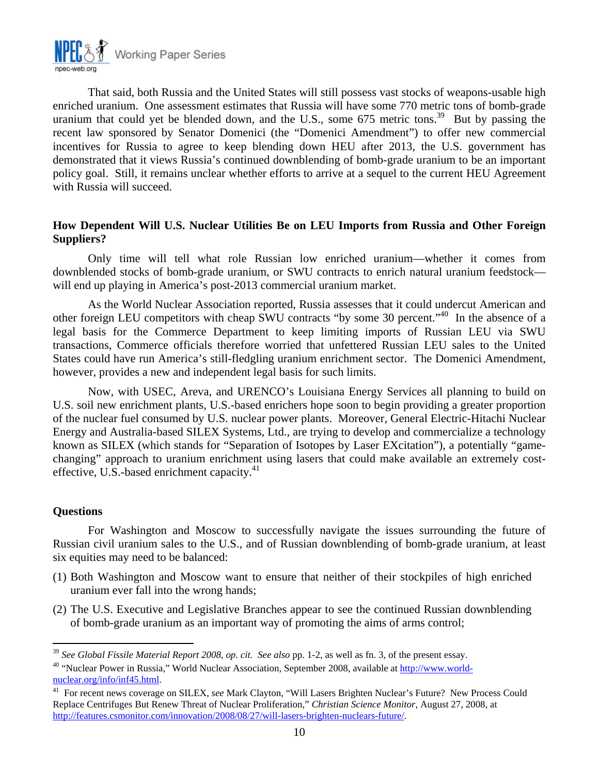

That said, both Russia and the United States will still possess vast stocks of weapons-usable high enriched uranium. One assessment estimates that Russia will have some 770 metric tons of bomb-grade uranium that could yet be blended down, and the U.S., some  $675$  metric tons.<sup>39</sup> But by passing the recent law sponsored by Senator Domenici (the "Domenici Amendment") to offer new commercial incentives for Russia to agree to keep blending down HEU after 2013, the U.S. government has demonstrated that it views Russia's continued downblending of bomb-grade uranium to be an important policy goal. Still, it remains unclear whether efforts to arrive at a sequel to the current HEU Agreement with Russia will succeed.

## **How Dependent Will U.S. Nuclear Utilities Be on LEU Imports from Russia and Other Foreign Suppliers?**

Only time will tell what role Russian low enriched uranium—whether it comes from downblended stocks of bomb-grade uranium, or SWU contracts to enrich natural uranium feedstock will end up playing in America's post-2013 commercial uranium market.

As the World Nuclear Association reported, Russia assesses that it could undercut American and other foreign LEU competitors with cheap SWU contracts "by some 30 percent."40 In the absence of a legal basis for the Commerce Department to keep limiting imports of Russian LEU via SWU transactions, Commerce officials therefore worried that unfettered Russian LEU sales to the United States could have run America's still-fledgling uranium enrichment sector. The Domenici Amendment, however, provides a new and independent legal basis for such limits.

Now, with USEC, Areva, and URENCO's Louisiana Energy Services all planning to build on U.S. soil new enrichment plants, U.S.-based enrichers hope soon to begin providing a greater proportion of the nuclear fuel consumed by U.S. nuclear power plants. Moreover, General Electric-Hitachi Nuclear Energy and Australia-based SILEX Systems, Ltd., are trying to develop and commercialize a technology known as SILEX (which stands for "Separation of Isotopes by Laser EXcitation"), a potentially "gamechanging" approach to uranium enrichment using lasers that could make available an extremely costeffective, U.S.-based enrichment capacity.<sup>41</sup>

#### **Questions**

 $\overline{a}$ 

For Washington and Moscow to successfully navigate the issues surrounding the future of Russian civil uranium sales to the U.S., and of Russian downblending of bomb-grade uranium, at least six equities may need to be balanced:

- (1) Both Washington and Moscow want to ensure that neither of their stockpiles of high enriched uranium ever fall into the wrong hands;
- (2) The U.S. Executive and Legislative Branches appear to see the continued Russian downblending of bomb-grade uranium as an important way of promoting the aims of arms control;

<sup>&</sup>lt;sup>39</sup> See Global Fissile Material Report 2008, op. cit. See also pp. 1-2, as well as fn. 3, of the present essay.<br><sup>40</sup> "Nuclear Power in Russia." World Nuclear Association. September 2008. available at http://www.world-

nuclear.org/info/inf45.html.<br><sup>41</sup> For recent news coverage on SILEX, *see* Mark Clayton, "Will Lasers Brighten Nuclear's Future? New Process Could

Replace Centrifuges But Renew Threat of Nuclear Proliferation," *Christian Science Monitor*, August 27, 2008, at http://features.csmonitor.com/innovation/2008/08/27/will-lasers-brighten-nuclears-future/.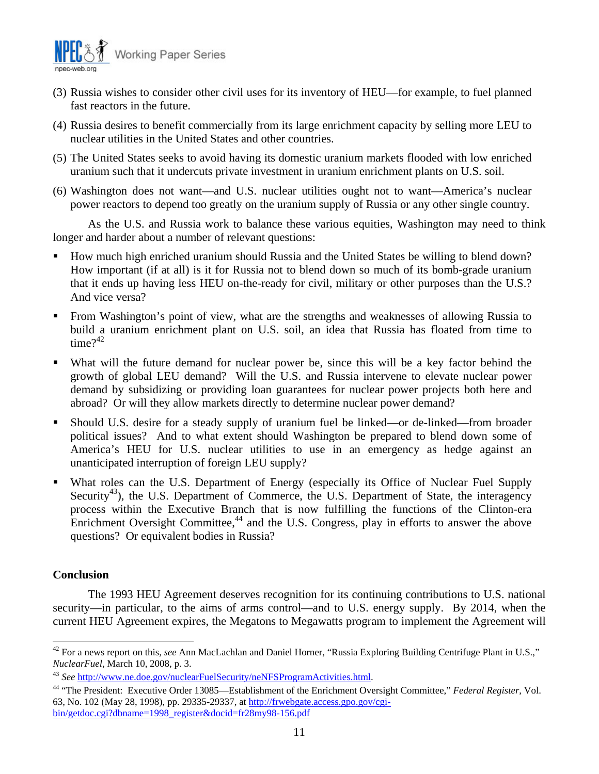

- (3) Russia wishes to consider other civil uses for its inventory of HEU—for example, to fuel planned fast reactors in the future.
- (4) Russia desires to benefit commercially from its large enrichment capacity by selling more LEU to nuclear utilities in the United States and other countries.
- (5) The United States seeks to avoid having its domestic uranium markets flooded with low enriched uranium such that it undercuts private investment in uranium enrichment plants on U.S. soil.
- (6) Washington does not want—and U.S. nuclear utilities ought not to want—America's nuclear power reactors to depend too greatly on the uranium supply of Russia or any other single country.

As the U.S. and Russia work to balance these various equities, Washington may need to think longer and harder about a number of relevant questions:

- How much high enriched uranium should Russia and the United States be willing to blend down? How important (if at all) is it for Russia not to blend down so much of its bomb-grade uranium that it ends up having less HEU on-the-ready for civil, military or other purposes than the U.S.? And vice versa?
- From Washington's point of view, what are the strengths and weaknesses of allowing Russia to build a uranium enrichment plant on U.S. soil, an idea that Russia has floated from time to time $?^{42}$
- What will the future demand for nuclear power be, since this will be a key factor behind the growth of global LEU demand? Will the U.S. and Russia intervene to elevate nuclear power demand by subsidizing or providing loan guarantees for nuclear power projects both here and abroad? Or will they allow markets directly to determine nuclear power demand?
- Should U.S. desire for a steady supply of uranium fuel be linked—or de-linked—from broader political issues? And to what extent should Washington be prepared to blend down some of America's HEU for U.S. nuclear utilities to use in an emergency as hedge against an unanticipated interruption of foreign LEU supply?
- What roles can the U.S. Department of Energy (especially its Office of Nuclear Fuel Supply Security<sup>43</sup>), the U.S. Department of Commerce, the U.S. Department of State, the interagency process within the Executive Branch that is now fulfilling the functions of the Clinton-era Enrichment Oversight Committee, $44$  and the U.S. Congress, play in efforts to answer the above questions? Or equivalent bodies in Russia?

### **Conclusion**

The 1993 HEU Agreement deserves recognition for its continuing contributions to U.S. national security—in particular, to the aims of arms control—and to U.S. energy supply. By 2014, when the current HEU Agreement expires, the Megatons to Megawatts program to implement the Agreement will

 $\overline{a}$ 42 For a news report on this, *see* Ann MacLachlan and Daniel Horner, "Russia Exploring Building Centrifuge Plant in U.S.,"

*NuclearFuel*, March 10, 2008, p. 3.<br><sup>43</sup> See <u>http://www.ne.doe.gov/nuclearFuelSecurity/neNFSProgramActivities.html</u>.<br><sup>44</sup> "The President: Executive Order 13085—Establishment of the Enrichment Oversight Committee," *Feder* 63, No. 102 (May 28, 1998), pp. 29335-29337, at http://frwebgate.access.gpo.gov/cgibin/getdoc.cgi?dbname=1998\_register&docid=fr28my98-156.pdf